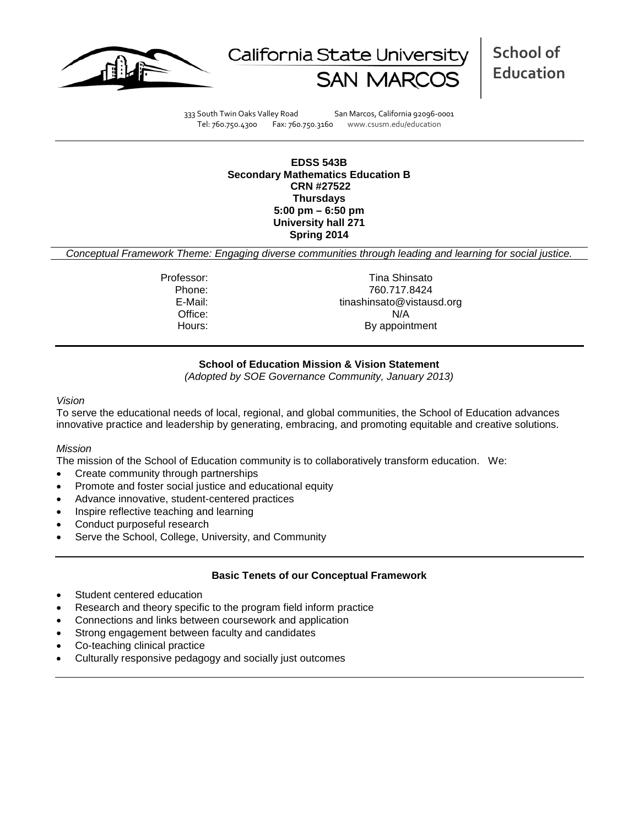



**School of Education**

333 South Twin Oaks Valley Road San Marcos, California 92096-0001 Tel: 760.750.4300 Fax: 760.750.3160 www.csusm.edu/education

**EDSS 543B Secondary Mathematics Education B CRN #27522 Thursdays 5:00 pm – 6:50 pm University hall 271 Spring 2014**

*Conceptual Framework Theme: Engaging diverse communities through leading and learning for social justice.*

Professor: Tina Shinsato Phone: 760.717.8424<br>E-Mail: 760.717.8424<br>Finashinsato@vistau tinashinsato@vistausd.org Office: N/A Hours: By appointment

# **School of Education Mission & Vision Statement**

*(Adopted by SOE Governance Community, January 2013)*

#### *Vision*

To serve the educational needs of local, regional, and global communities, the School of Education advances innovative practice and leadership by generating, embracing, and promoting equitable and creative solutions.

## *Mission*

The mission of the School of Education community is to collaboratively transform education. We:

- Create community through partnerships
- Promote and foster social justice and educational equity
- Advance innovative, student-centered practices
- Inspire reflective teaching and learning
- Conduct purposeful research
- Serve the School, College, University, and Community

## **Basic Tenets of our Conceptual Framework**

- Student centered education
- Research and theory specific to the program field inform practice
- Connections and links between coursework and application
- Strong engagement between faculty and candidates
- Co-teaching clinical practice
- Culturally responsive pedagogy and socially just outcomes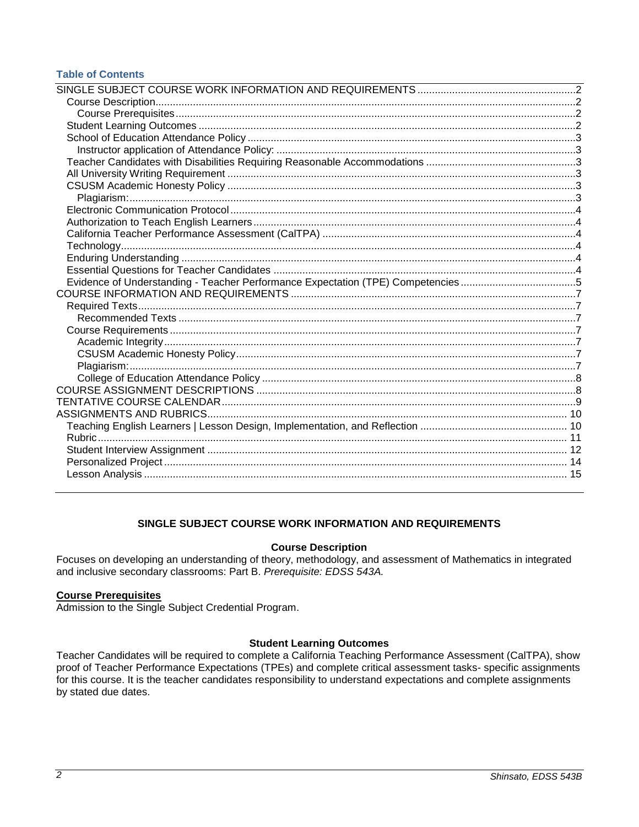# **Table of Contents**

| Evidence of Understanding - Teacher Performance Expectation (TPE) Competencies5 |  |
|---------------------------------------------------------------------------------|--|
|                                                                                 |  |
|                                                                                 |  |
|                                                                                 |  |
|                                                                                 |  |
|                                                                                 |  |
|                                                                                 |  |
|                                                                                 |  |
|                                                                                 |  |
|                                                                                 |  |
|                                                                                 |  |
|                                                                                 |  |
|                                                                                 |  |
|                                                                                 |  |
|                                                                                 |  |
|                                                                                 |  |
|                                                                                 |  |
|                                                                                 |  |

# SINGLE SUBJECT COURSE WORK INFORMATION AND REQUIREMENTS

# **Course Description**

<span id="page-1-1"></span><span id="page-1-0"></span>Focuses on developing an understanding of theory, methodology, and assessment of Mathematics in integrated and inclusive secondary classrooms: Part B. Prerequisite: EDSS 543A.

## <span id="page-1-2"></span>**Course Prerequisites**

Admission to the Single Subject Credential Program.

# **Student Learning Outcomes**

<span id="page-1-4"></span><span id="page-1-3"></span>Teacher Candidates will be required to complete a California Teaching Performance Assessment (CalTPA), show proof of Teacher Performance Expectations (TPEs) and complete critical assessment tasks- specific assignments for this course. It is the teacher candidates responsibility to understand expectations and complete assignments by stated due dates.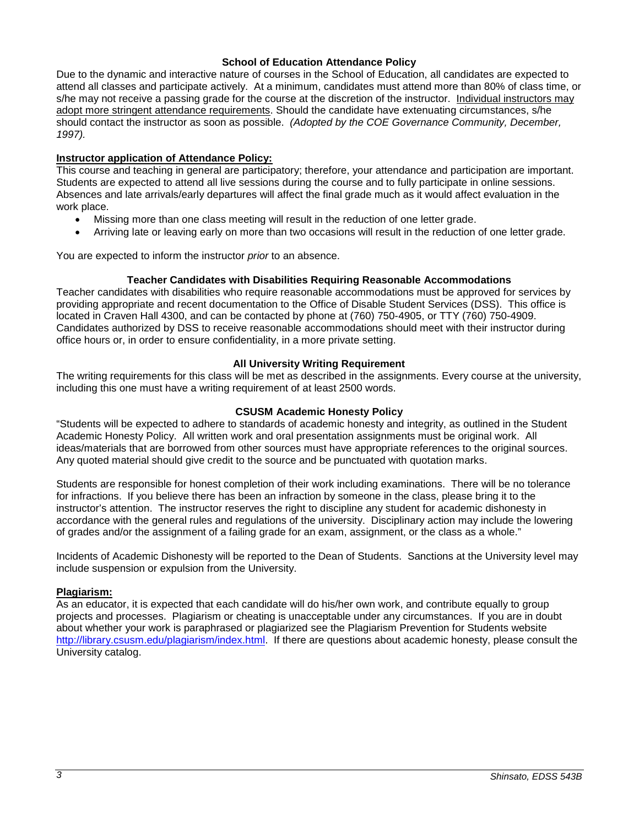## **School of Education Attendance Policy**

Due to the dynamic and interactive nature of courses in the School of Education, all candidates are expected to attend all classes and participate actively. At a minimum, candidates must attend more than 80% of class time, or s/he may not receive a passing grade for the course at the discretion of the instructor. Individual instructors may adopt more stringent attendance requirements. Should the candidate have extenuating circumstances, s/he should contact the instructor as soon as possible. *(Adopted by the COE Governance Community, December, 1997).*

# <span id="page-2-0"></span>**Instructor application of Attendance Policy:**

This course and teaching in general are participatory; therefore, your attendance and participation are important. Students are expected to attend all live sessions during the course and to fully participate in online sessions. Absences and late arrivals/early departures will affect the final grade much as it would affect evaluation in the work place.

- Missing more than one class meeting will result in the reduction of one letter grade.
- Arriving late or leaving early on more than two occasions will result in the reduction of one letter grade.

You are expected to inform the instructor *prior* to an absence.

# **Teacher Candidates with Disabilities Requiring Reasonable Accommodations**

<span id="page-2-1"></span>Teacher candidates with disabilities who require reasonable accommodations must be approved for services by providing appropriate and recent documentation to the Office of Disable Student Services (DSS). This office is located in Craven Hall 4300, and can be contacted by phone at (760) 750-4905, or TTY (760) 750-4909. Candidates authorized by DSS to receive reasonable accommodations should meet with their instructor during office hours or, in order to ensure confidentiality, in a more private setting.

# **All University Writing Requirement**

<span id="page-2-2"></span>The writing requirements for this class will be met as described in the assignments. Every course at the university, including this one must have a writing requirement of at least 2500 words.

# **CSUSM Academic Honesty Policy**

<span id="page-2-3"></span>"Students will be expected to adhere to standards of academic honesty and integrity, as outlined in the Student Academic Honesty Policy. All written work and oral presentation assignments must be original work. All ideas/materials that are borrowed from other sources must have appropriate references to the original sources. Any quoted material should give credit to the source and be punctuated with quotation marks.

Students are responsible for honest completion of their work including examinations. There will be no tolerance for infractions. If you believe there has been an infraction by someone in the class, please bring it to the instructor's attention. The instructor reserves the right to discipline any student for academic dishonesty in accordance with the general rules and regulations of the university. Disciplinary action may include the lowering of grades and/or the assignment of a failing grade for an exam, assignment, or the class as a whole."

Incidents of Academic Dishonesty will be reported to the Dean of Students. Sanctions at the University level may include suspension or expulsion from the University.

## <span id="page-2-4"></span>**Plagiarism:**

<span id="page-2-5"></span>As an educator, it is expected that each candidate will do his/her own work, and contribute equally to group projects and processes. Plagiarism or cheating is unacceptable under any circumstances. If you are in doubt about whether your work is paraphrased or plagiarized see the Plagiarism Prevention for Students website [http://library.csusm.edu/plagiarism/index.html.](http://library.csusm.edu/plagiarism/index.html) If there are questions about academic honesty, please consult the University catalog.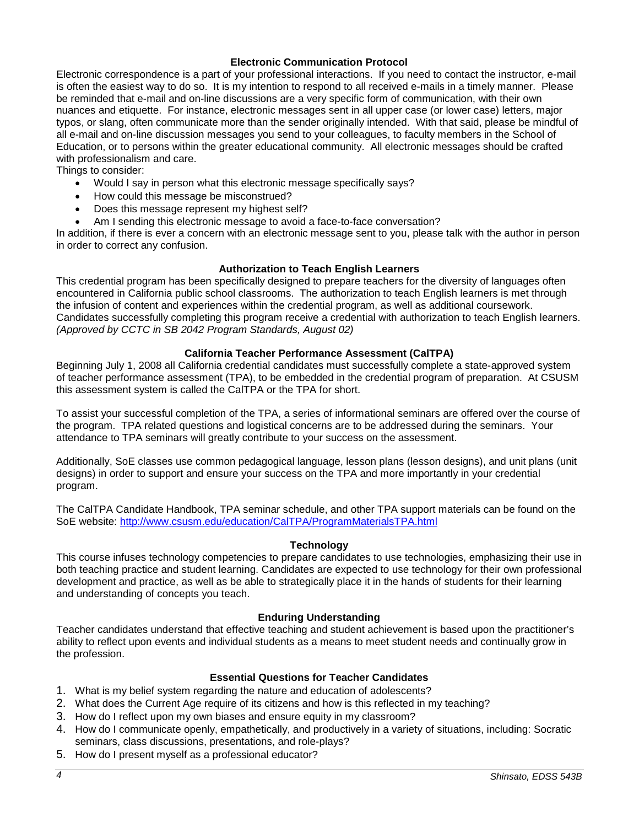## **Electronic Communication Protocol**

Electronic correspondence is a part of your professional interactions. If you need to contact the instructor, e-mail is often the easiest way to do so. It is my intention to respond to all received e-mails in a timely manner. Please be reminded that e-mail and on-line discussions are a very specific form of communication, with their own nuances and etiquette. For instance, electronic messages sent in all upper case (or lower case) letters, major typos, or slang, often communicate more than the sender originally intended. With that said, please be mindful of all e-mail and on-line discussion messages you send to your colleagues, to faculty members in the School of Education, or to persons within the greater educational community. All electronic messages should be crafted with professionalism and care.

Things to consider:

- Would I say in person what this electronic message specifically says?
- How could this message be misconstrued?
- Does this message represent my highest self?
- Am I sending this electronic message to avoid a face-to-face conversation?

In addition, if there is ever a concern with an electronic message sent to you, please talk with the author in person in order to correct any confusion.

## **Authorization to Teach English Learners**

<span id="page-3-0"></span>This credential program has been specifically designed to prepare teachers for the diversity of languages often encountered in California public school classrooms. The authorization to teach English learners is met through the infusion of content and experiences within the credential program, as well as additional coursework. Candidates successfully completing this program receive a credential with authorization to teach English learners. *(Approved by CCTC in SB 2042 Program Standards, August 02)*

# **California Teacher Performance Assessment (CalTPA)**

<span id="page-3-1"></span>Beginning July 1, 2008 all California credential candidates must successfully complete a state-approved system of teacher performance assessment (TPA), to be embedded in the credential program of preparation. At CSUSM this assessment system is called the CalTPA or the TPA for short.

To assist your successful completion of the TPA, a series of informational seminars are offered over the course of the program. TPA related questions and logistical concerns are to be addressed during the seminars. Your attendance to TPA seminars will greatly contribute to your success on the assessment.

Additionally, SoE classes use common pedagogical language, lesson plans (lesson designs), and unit plans (unit designs) in order to support and ensure your success on the TPA and more importantly in your credential program.

The CalTPA Candidate Handbook, TPA seminar schedule, and other TPA support materials can be found on the SoE website:<http://www.csusm.edu/education/CalTPA/ProgramMaterialsTPA.html>

## **Technology**

<span id="page-3-2"></span>This course infuses technology competencies to prepare candidates to use technologies, emphasizing their use in both teaching practice and student learning. Candidates are expected to use technology for their own professional development and practice, as well as be able to strategically place it in the hands of students for their learning and understanding of concepts you teach.

## **Enduring Understanding**

<span id="page-3-3"></span>Teacher candidates understand that effective teaching and student achievement is based upon the practitioner's ability to reflect upon events and individual students as a means to meet student needs and continually grow in the profession.

# **Essential Questions for Teacher Candidates**

- <span id="page-3-4"></span>1. What is my belief system regarding the nature and education of adolescents?
- 2. What does the Current Age require of its citizens and how is this reflected in my teaching?
- 3. How do I reflect upon my own biases and ensure equity in my classroom?
- 4. How do I communicate openly, empathetically, and productively in a variety of situations, including: Socratic seminars, class discussions, presentations, and role-plays?
- <span id="page-3-5"></span>5. How do I present myself as a professional educator?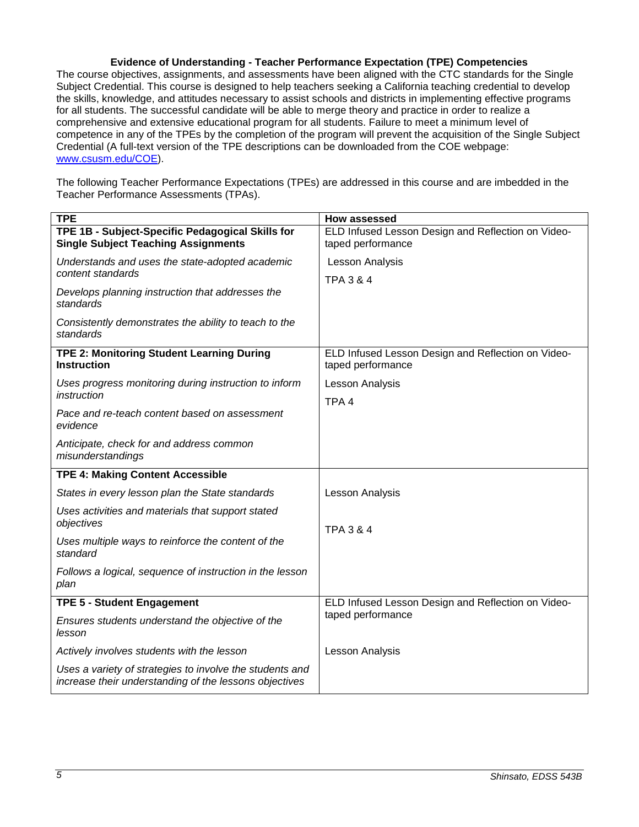# **Evidence of Understanding - Teacher Performance Expectation (TPE) Competencies**

The course objectives, assignments, and assessments have been aligned with the CTC standards for the Single Subject Credential. This course is designed to help teachers seeking a California teaching credential to develop the skills, knowledge, and attitudes necessary to assist schools and districts in implementing effective programs for all students. The successful candidate will be able to merge theory and practice in order to realize a comprehensive and extensive educational program for all students. Failure to meet a minimum level of competence in any of the TPEs by the completion of the program will prevent the acquisition of the Single Subject Credential (A full-text version of the TPE descriptions can be downloaded from the COE webpage: [www.csusm.edu/COE\)](http://www.csusm.edu/COE).

The following Teacher Performance Expectations (TPEs) are addressed in this course and are imbedded in the Teacher Performance Assessments (TPAs).

| <b>TPE</b>                                                                                                         | <b>How assessed</b>                                                     |  |
|--------------------------------------------------------------------------------------------------------------------|-------------------------------------------------------------------------|--|
| TPE 1B - Subject-Specific Pedagogical Skills for<br><b>Single Subject Teaching Assignments</b>                     | ELD Infused Lesson Design and Reflection on Video-<br>taped performance |  |
| Understands and uses the state-adopted academic<br>content standards                                               | Lesson Analysis                                                         |  |
| Develops planning instruction that addresses the<br>standards                                                      | TPA 3 & 4                                                               |  |
| Consistently demonstrates the ability to teach to the<br>standards                                                 |                                                                         |  |
| TPE 2: Monitoring Student Learning During<br><b>Instruction</b>                                                    | ELD Infused Lesson Design and Reflection on Video-<br>taped performance |  |
| Uses progress monitoring during instruction to inform<br>instruction                                               | Lesson Analysis                                                         |  |
| Pace and re-teach content based on assessment<br>evidence                                                          | TPA <sub>4</sub>                                                        |  |
| Anticipate, check for and address common<br>misunderstandings                                                      |                                                                         |  |
| <b>TPE 4: Making Content Accessible</b>                                                                            |                                                                         |  |
| States in every lesson plan the State standards                                                                    | <b>Lesson Analysis</b>                                                  |  |
| Uses activities and materials that support stated<br>objectives                                                    | <b>TPA 3 &amp; 4</b>                                                    |  |
| Uses multiple ways to reinforce the content of the<br>standard                                                     |                                                                         |  |
| Follows a logical, sequence of instruction in the lesson<br>plan                                                   |                                                                         |  |
| <b>TPE 5 - Student Engagement</b>                                                                                  | ELD Infused Lesson Design and Reflection on Video-                      |  |
| Ensures students understand the objective of the<br>lesson                                                         | taped performance                                                       |  |
| Actively involves students with the lesson                                                                         | Lesson Analysis                                                         |  |
| Uses a variety of strategies to involve the students and<br>increase their understanding of the lessons objectives |                                                                         |  |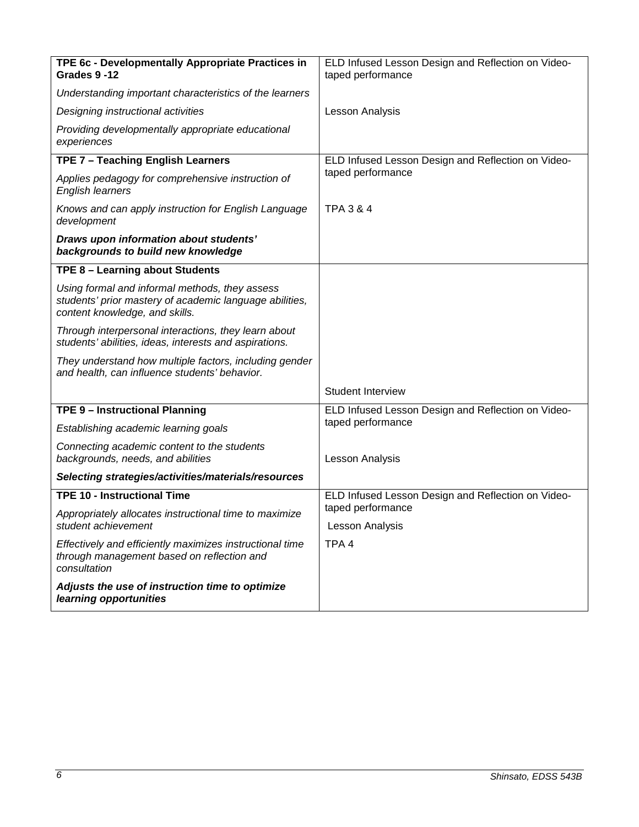<span id="page-5-0"></span>

| TPE 6c - Developmentally Appropriate Practices in                                                                                           | ELD Infused Lesson Design and Reflection on Video-                                         |  |
|---------------------------------------------------------------------------------------------------------------------------------------------|--------------------------------------------------------------------------------------------|--|
| Grades 9-12                                                                                                                                 | taped performance                                                                          |  |
| Understanding important characteristics of the learners                                                                                     |                                                                                            |  |
| Designing instructional activities                                                                                                          | Lesson Analysis                                                                            |  |
| Providing developmentally appropriate educational<br>experiences                                                                            |                                                                                            |  |
| TPE 7 - Teaching English Learners                                                                                                           | ELD Infused Lesson Design and Reflection on Video-                                         |  |
| Applies pedagogy for comprehensive instruction of<br><b>English learners</b>                                                                | taped performance                                                                          |  |
| Knows and can apply instruction for English Language<br>development                                                                         | <b>TPA 3 &amp; 4</b>                                                                       |  |
| Draws upon information about students'<br>backgrounds to build new knowledge                                                                |                                                                                            |  |
| TPE 8 - Learning about Students                                                                                                             |                                                                                            |  |
| Using formal and informal methods, they assess<br>students' prior mastery of academic language abilities,<br>content knowledge, and skills. |                                                                                            |  |
| Through interpersonal interactions, they learn about<br>students' abilities, ideas, interests and aspirations.                              |                                                                                            |  |
| They understand how multiple factors, including gender<br>and health, can influence students' behavior.                                     |                                                                                            |  |
|                                                                                                                                             | <b>Student Interview</b>                                                                   |  |
| <b>TPE 9 - Instructional Planning</b>                                                                                                       | ELD Infused Lesson Design and Reflection on Video-                                         |  |
| Establishing academic learning goals                                                                                                        | taped performance                                                                          |  |
| Connecting academic content to the students<br>backgrounds, needs, and abilities                                                            | Lesson Analysis                                                                            |  |
| Selecting strategies/activities/materials/resources                                                                                         |                                                                                            |  |
| <b>TPE 10 - Instructional Time</b>                                                                                                          | ELD Infused Lesson Design and Reflection on Video-<br>taped performance<br>Lesson Analysis |  |
| Appropriately allocates instructional time to maximize<br>student achievement                                                               |                                                                                            |  |
| Effectively and efficiently maximizes instructional time<br>through management based on reflection and<br>consultation                      | TPA <sub>4</sub>                                                                           |  |
| Adjusts the use of instruction time to optimize<br>learning opportunities                                                                   |                                                                                            |  |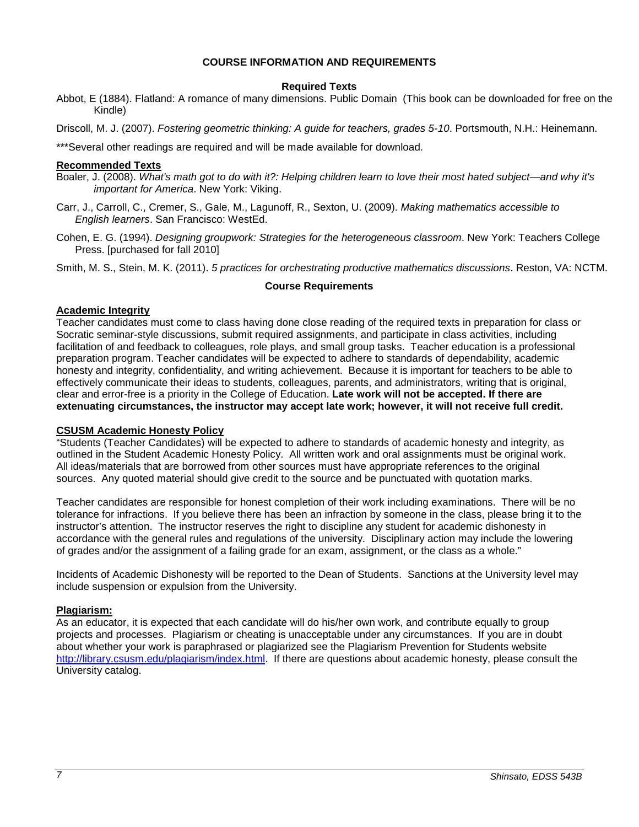#### **COURSE INFORMATION AND REQUIREMENTS**

#### **Required Texts**

- <span id="page-6-0"></span>Abbot, E (1884). Flatland: A romance of many dimensions. Public Domain (This book can be downloaded for free on the Kindle)
- Driscoll, M. J. (2007). *Fostering geometric thinking: A guide for teachers, grades 5-10*. Portsmouth, N.H.: Heinemann.

\*\*\*Several other readings are required and will be made available for download.

#### <span id="page-6-1"></span>**Recommended Texts**

- Boaler, J. (2008). *What's math got to do with it?: Helping children learn to love their most hated subject—and why it's important for America*. New York: Viking.
- Carr, J., Carroll, C., Cremer, S., Gale, M., Lagunoff, R., Sexton, U. (2009). *Making mathematics accessible to English learners*. San Francisco: WestEd.
- Cohen, E. G. (1994). *Designing groupwork: Strategies for the heterogeneous classroom*. New York: Teachers College Press. [purchased for fall 2010]

<span id="page-6-2"></span>Smith, M. S., Stein, M. K. (2011). *5 practices for orchestrating productive mathematics discussions*. Reston, VA: NCTM.

## **Course Requirements**

## <span id="page-6-3"></span>**Academic Integrity**

Teacher candidates must come to class having done close reading of the required texts in preparation for class or Socratic seminar-style discussions, submit required assignments, and participate in class activities, including facilitation of and feedback to colleagues, role plays, and small group tasks. Teacher education is a professional preparation program. Teacher candidates will be expected to adhere to standards of dependability, academic honesty and integrity, confidentiality, and writing achievement. Because it is important for teachers to be able to effectively communicate their ideas to students, colleagues, parents, and administrators, writing that is original, clear and error-free is a priority in the College of Education. **Late work will not be accepted. If there are extenuating circumstances, the instructor may accept late work; however, it will not receive full credit.**

## <span id="page-6-4"></span>**CSUSM Academic Honesty Policy**

"Students (Teacher Candidates) will be expected to adhere to standards of academic honesty and integrity, as outlined in the Student Academic Honesty Policy. All written work and oral assignments must be original work. All ideas/materials that are borrowed from other sources must have appropriate references to the original sources. Any quoted material should give credit to the source and be punctuated with quotation marks.

Teacher candidates are responsible for honest completion of their work including examinations. There will be no tolerance for infractions. If you believe there has been an infraction by someone in the class, please bring it to the instructor's attention. The instructor reserves the right to discipline any student for academic dishonesty in accordance with the general rules and regulations of the university. Disciplinary action may include the lowering of grades and/or the assignment of a failing grade for an exam, assignment, or the class as a whole."

Incidents of Academic Dishonesty will be reported to the Dean of Students. Sanctions at the University level may include suspension or expulsion from the University.

## <span id="page-6-5"></span>**Plagiarism:**

<span id="page-6-6"></span>As an educator, it is expected that each candidate will do his/her own work, and contribute equally to group projects and processes. Plagiarism or cheating is unacceptable under any circumstances. If you are in doubt about whether your work is paraphrased or plagiarized see the Plagiarism Prevention for Students website [http://library.csusm.edu/plagiarism/index.html.](http://library.csusm.edu/plagiarism/index.html) If there are questions about academic honesty, please consult the University catalog.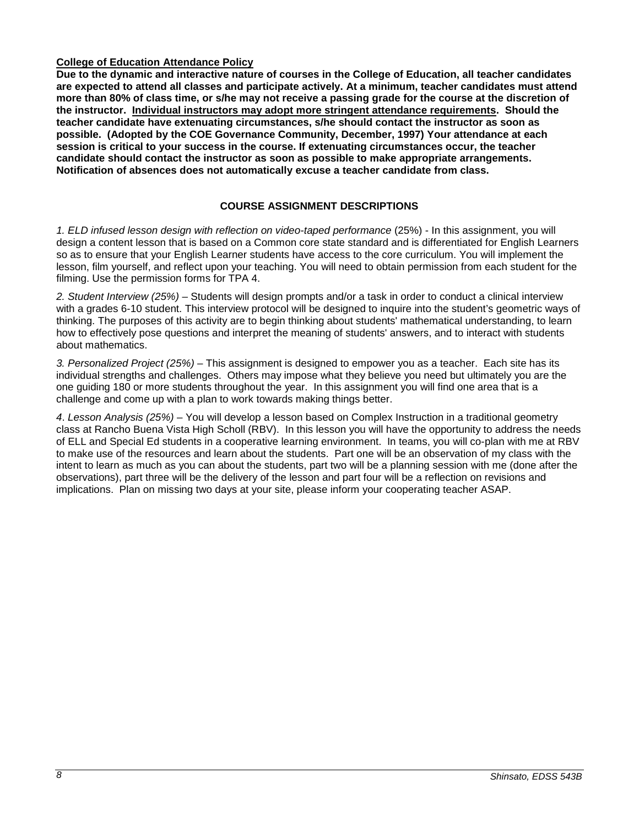# **College of Education Attendance Policy**

**Due to the dynamic and interactive nature of courses in the College of Education, all teacher candidates are expected to attend all classes and participate actively. At a minimum, teacher candidates must attend more than 80% of class time, or s/he may not receive a passing grade for the course at the discretion of the instructor. Individual instructors may adopt more stringent attendance requirements. Should the teacher candidate have extenuating circumstances, s/he should contact the instructor as soon as possible. (Adopted by the COE Governance Community, December, 1997) Your attendance at each session is critical to your success in the course. If extenuating circumstances occur, the teacher candidate should contact the instructor as soon as possible to make appropriate arrangements. Notification of absences does not automatically excuse a teacher candidate from class.** 

# **COURSE ASSIGNMENT DESCRIPTIONS**

<span id="page-7-0"></span>*1. ELD infused lesson design with reflection on video-taped performance* (25%) - In this assignment, you will design a content lesson that is based on a Common core state standard and is differentiated for English Learners so as to ensure that your English Learner students have access to the core curriculum. You will implement the lesson, film yourself, and reflect upon your teaching. You will need to obtain permission from each student for the filming. Use the permission forms for TPA 4.

*2. Student Interview (25%)* – Students will design prompts and/or a task in order to conduct a clinical interview with a grades 6-10 student. This interview protocol will be designed to inquire into the student's geometric ways of thinking. The purposes of this activity are to begin thinking about students' mathematical understanding, to learn how to effectively pose questions and interpret the meaning of students' answers, and to interact with students about mathematics.

*3. Personalized Project (25%)* – This assignment is designed to empower you as a teacher. Each site has its individual strengths and challenges. Others may impose what they believe you need but ultimately you are the one guiding 180 or more students throughout the year. In this assignment you will find one area that is a challenge and come up with a plan to work towards making things better.

<span id="page-7-1"></span>*4*. *Lesson Analysis (25%)* – You will develop a lesson based on Complex Instruction in a traditional geometry class at Rancho Buena Vista High Scholl (RBV). In this lesson you will have the opportunity to address the needs of ELL and Special Ed students in a cooperative learning environment. In teams, you will co-plan with me at RBV to make use of the resources and learn about the students. Part one will be an observation of my class with the intent to learn as much as you can about the students, part two will be a planning session with me (done after the observations), part three will be the delivery of the lesson and part four will be a reflection on revisions and implications. Plan on missing two days at your site, please inform your cooperating teacher ASAP.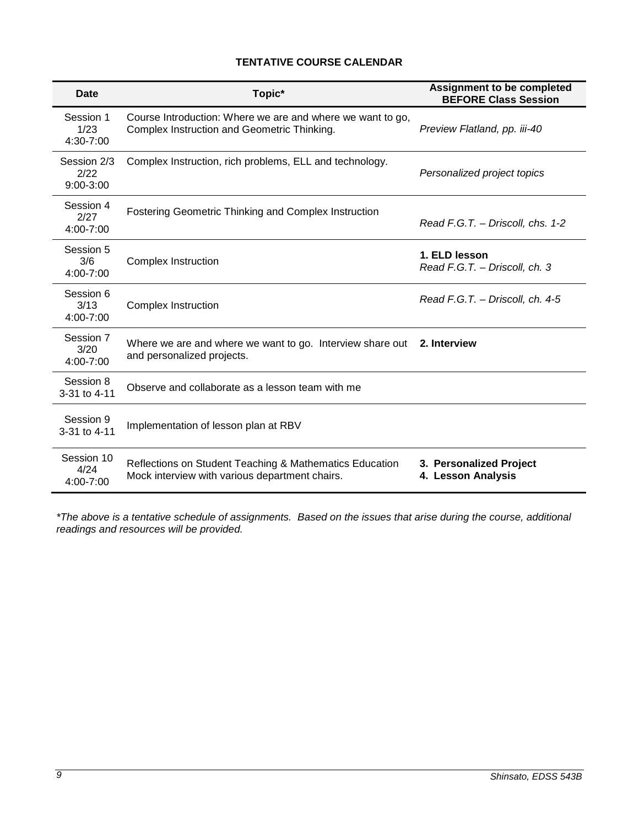# **TENTATIVE COURSE CALENDAR**

| Date                               | Topic*                                                                                                    | <b>Assignment to be completed</b><br><b>BEFORE Class Session</b> |
|------------------------------------|-----------------------------------------------------------------------------------------------------------|------------------------------------------------------------------|
| Session 1<br>1/23<br>4:30-7:00     | Course Introduction: Where we are and where we want to go,<br>Complex Instruction and Geometric Thinking. | Preview Flatland, pp. iii-40                                     |
| Session 2/3<br>2/22<br>$9:00-3:00$ | Complex Instruction, rich problems, ELL and technology.                                                   | Personalized project topics                                      |
| Session 4<br>2/27<br>4:00-7:00     | Fostering Geometric Thinking and Complex Instruction                                                      | Read F.G.T. - Driscoll, chs. 1-2                                 |
| Session 5<br>3/6<br>4:00-7:00      | <b>Complex Instruction</b>                                                                                | 1. ELD lesson<br>Read F.G.T. - Driscoll, ch. 3                   |
| Session 6<br>3/13<br>4:00-7:00     | Complex Instruction                                                                                       | Read F.G.T. - Driscoll, ch. 4-5                                  |
| Session 7<br>3/20<br>4:00-7:00     | Where we are and where we want to go. Interview share out<br>and personalized projects.                   | 2. Interview                                                     |
| Session 8<br>3-31 to 4-11          | Observe and collaborate as a lesson team with me                                                          |                                                                  |
| Session 9<br>3-31 to 4-11          | Implementation of lesson plan at RBV                                                                      |                                                                  |
| Session 10<br>4/24<br>4:00-7:00    | Reflections on Student Teaching & Mathematics Education<br>Mock interview with various department chairs. | 3. Personalized Project<br>4. Lesson Analysis                    |

*\*The above is a tentative schedule of assignments. Based on the issues that arise during the course, additional readings and resources will be provided.*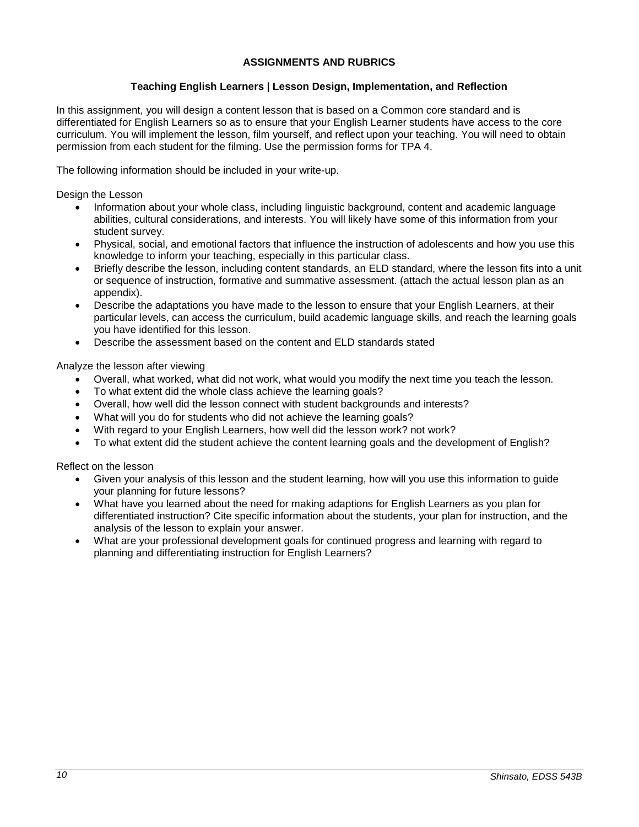# **ASSIGNMENTS AND RUBRICS**

# **Teaching English Learners | Lesson Design, Implementation, and Reflection**

<span id="page-9-1"></span><span id="page-9-0"></span>In this assignment, you will design a content lesson that is based on a Common core standard and is differentiated for English Learners so as to ensure that your English Learner students have access to the core curriculum. You will implement the lesson, film yourself, and reflect upon your teaching. You will need to obtain permission from each student for the filming. Use the permission forms for TPA 4.

The following information should be included in your write-up.

Design the Lesson

- Information about your whole class, including linguistic background, content and academic language abilities, cultural considerations, and interests. You will likely have some of this information from your student survey.
- Physical, social, and emotional factors that influence the instruction of adolescents and how you use this knowledge to inform your teaching, especially in this particular class.
- Briefly describe the lesson, including content standards, an ELD standard, where the lesson fits into a unit or sequence of instruction, formative and summative assessment. (attach the actual lesson plan as an appendix).
- Describe the adaptations you have made to the lesson to ensure that your English Learners, at their particular levels, can access the curriculum, build academic language skills, and reach the learning goals you have identified for this lesson.
- Describe the assessment based on the content and ELD standards stated

Analyze the lesson after viewing

- Overall, what worked, what did not work, what would you modify the next time you teach the lesson.
- To what extent did the whole class achieve the learning goals?
- Overall, how well did the lesson connect with student backgrounds and interests?
- What will you do for students who did not achieve the learning goals?
- With regard to your English Learners, how well did the lesson work? not work?
- To what extent did the student achieve the content learning goals and the development of English?

Reflect on the lesson

- Given your analysis of this lesson and the student learning, how will you use this information to guide your planning for future lessons?
- What have you learned about the need for making adaptions for English Learners as you plan for differentiated instruction? Cite specific information about the students, your plan for instruction, and the analysis of the lesson to explain your answer.
- What are your professional development goals for continued progress and learning with regard to planning and differentiating instruction for English Learners?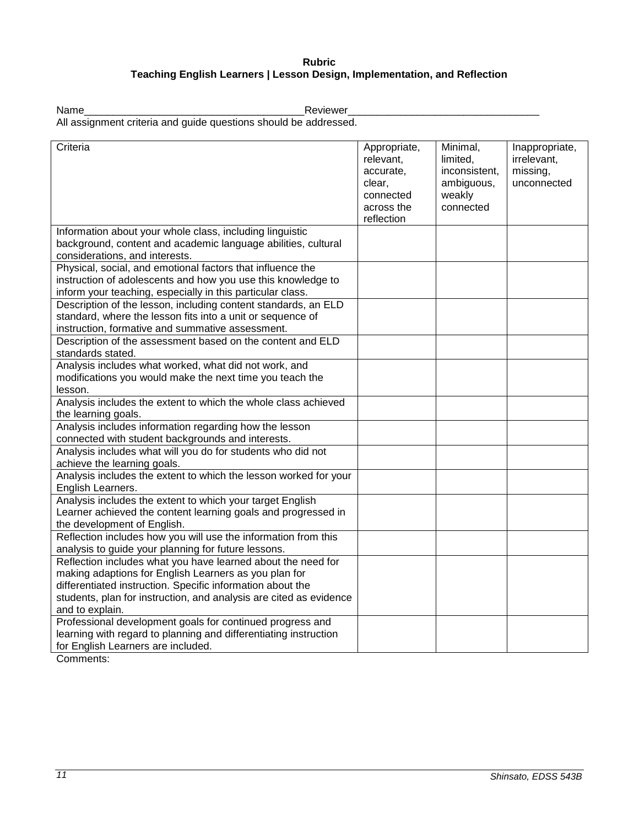# **Rubric Teaching English Learners | Lesson Design, Implementation, and Reflection**

<span id="page-10-0"></span>Name\_\_\_\_\_\_\_\_\_\_\_\_\_\_\_\_\_\_\_\_\_\_\_\_\_\_\_\_\_\_\_\_\_\_\_\_\_\_Reviewer\_\_\_\_\_\_\_\_\_\_\_\_\_\_\_\_\_\_\_\_\_\_\_\_\_\_\_\_\_\_\_\_\_ All assignment criteria and guide questions should be addressed.

| Criteria                                                           | Appropriate, | Minimal,      | Inappropriate, |
|--------------------------------------------------------------------|--------------|---------------|----------------|
|                                                                    | relevant,    | limited,      | irrelevant,    |
|                                                                    | accurate,    | inconsistent, | missing,       |
|                                                                    | clear,       | ambiguous,    | unconnected    |
|                                                                    | connected    | weakly        |                |
|                                                                    | across the   | connected     |                |
|                                                                    | reflection   |               |                |
| Information about your whole class, including linguistic           |              |               |                |
| background, content and academic language abilities, cultural      |              |               |                |
| considerations, and interests.                                     |              |               |                |
| Physical, social, and emotional factors that influence the         |              |               |                |
| instruction of adolescents and how you use this knowledge to       |              |               |                |
| inform your teaching, especially in this particular class.         |              |               |                |
| Description of the lesson, including content standards, an ELD     |              |               |                |
| standard, where the lesson fits into a unit or sequence of         |              |               |                |
| instruction, formative and summative assessment.                   |              |               |                |
| Description of the assessment based on the content and ELD         |              |               |                |
| standards stated.                                                  |              |               |                |
| Analysis includes what worked, what did not work, and              |              |               |                |
| modifications you would make the next time you teach the           |              |               |                |
| lesson.                                                            |              |               |                |
| Analysis includes the extent to which the whole class achieved     |              |               |                |
| the learning goals.                                                |              |               |                |
| Analysis includes information regarding how the lesson             |              |               |                |
| connected with student backgrounds and interests.                  |              |               |                |
| Analysis includes what will you do for students who did not        |              |               |                |
| achieve the learning goals.                                        |              |               |                |
| Analysis includes the extent to which the lesson worked for your   |              |               |                |
| English Learners.                                                  |              |               |                |
| Analysis includes the extent to which your target English          |              |               |                |
| Learner achieved the content learning goals and progressed in      |              |               |                |
| the development of English.                                        |              |               |                |
| Reflection includes how you will use the information from this     |              |               |                |
| analysis to guide your planning for future lessons.                |              |               |                |
| Reflection includes what you have learned about the need for       |              |               |                |
| making adaptions for English Learners as you plan for              |              |               |                |
| differentiated instruction. Specific information about the         |              |               |                |
| students, plan for instruction, and analysis are cited as evidence |              |               |                |
| and to explain.                                                    |              |               |                |
| Professional development goals for continued progress and          |              |               |                |
| learning with regard to planning and differentiating instruction   |              |               |                |
| for English Learners are included.                                 |              |               |                |
| Commonout                                                          |              |               |                |

Comments: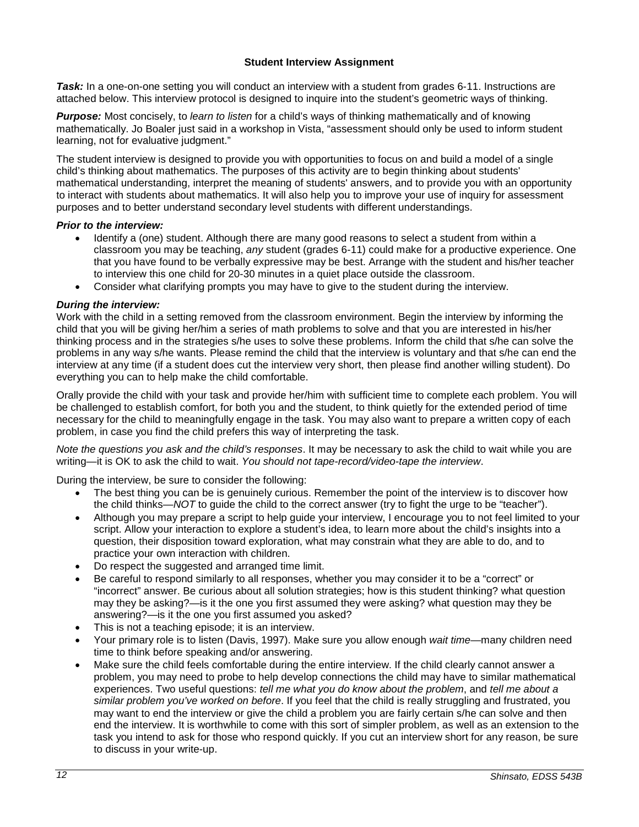# **Student Interview Assignment**

<span id="page-11-0"></span>*Task:* In a one-on-one setting you will conduct an interview with a student from grades 6-11. Instructions are attached below. This interview protocol is designed to inquire into the student's geometric ways of thinking.

*Purpose:* Most concisely, to *learn to listen* for a child's ways of thinking mathematically and of knowing mathematically. Jo Boaler just said in a workshop in Vista, "assessment should only be used to inform student learning, not for evaluative judgment."

The student interview is designed to provide you with opportunities to focus on and build a model of a single child's thinking about mathematics. The purposes of this activity are to begin thinking about students' mathematical understanding, interpret the meaning of students' answers, and to provide you with an opportunity to interact with students about mathematics. It will also help you to improve your use of inquiry for assessment purposes and to better understand secondary level students with different understandings.

# *Prior to the interview:*

- Identify a (one) student. Although there are many good reasons to select a student from within a classroom you may be teaching, *any* student (grades 6-11) could make for a productive experience. One that you have found to be verbally expressive may be best. Arrange with the student and his/her teacher to interview this one child for 20-30 minutes in a quiet place outside the classroom.
- Consider what clarifying prompts you may have to give to the student during the interview.

# *During the interview:*

Work with the child in a setting removed from the classroom environment. Begin the interview by informing the child that you will be giving her/him a series of math problems to solve and that you are interested in his/her thinking process and in the strategies s/he uses to solve these problems. Inform the child that s/he can solve the problems in any way s/he wants. Please remind the child that the interview is voluntary and that s/he can end the interview at any time (if a student does cut the interview very short, then please find another willing student). Do everything you can to help make the child comfortable.

Orally provide the child with your task and provide her/him with sufficient time to complete each problem. You will be challenged to establish comfort, for both you and the student, to think quietly for the extended period of time necessary for the child to meaningfully engage in the task. You may also want to prepare a written copy of each problem, in case you find the child prefers this way of interpreting the task.

*Note the questions you ask and the child's responses*. It may be necessary to ask the child to wait while you are writing—it is OK to ask the child to wait. *You should not tape-record/video-tape the interview*.

During the interview, be sure to consider the following:

- The best thing you can be is genuinely curious. Remember the point of the interview is to discover how the child thinks—*NOT* to guide the child to the correct answer (try to fight the urge to be "teacher").
- Although you may prepare a script to help guide your interview, I encourage you to not feel limited to your script. Allow your interaction to explore a student's idea, to learn more about the child's insights into a question, their disposition toward exploration, what may constrain what they are able to do, and to practice your own interaction with children.
- Do respect the suggested and arranged time limit.
- Be careful to respond similarly to all responses, whether you may consider it to be a "correct" or "incorrect" answer. Be curious about all solution strategies; how is this student thinking? what question may they be asking?—is it the one you first assumed they were asking? what question may they be answering?—is it the one you first assumed you asked?
- This is not a teaching episode; it is an interview.
- Your primary role is to listen (Davis, 1997). Make sure you allow enough *wait time*—many children need time to think before speaking and/or answering.
- Make sure the child feels comfortable during the entire interview. If the child clearly cannot answer a problem, you may need to probe to help develop connections the child may have to similar mathematical experiences. Two useful questions: *tell me what you do know about the problem*, and *tell me about a similar problem you've worked on before*. If you feel that the child is really struggling and frustrated, you may want to end the interview or give the child a problem you are fairly certain s/he can solve and then end the interview. It is worthwhile to come with this sort of simpler problem, as well as an extension to the task you intend to ask for those who respond quickly. If you cut an interview short for any reason, be sure to discuss in your write-up.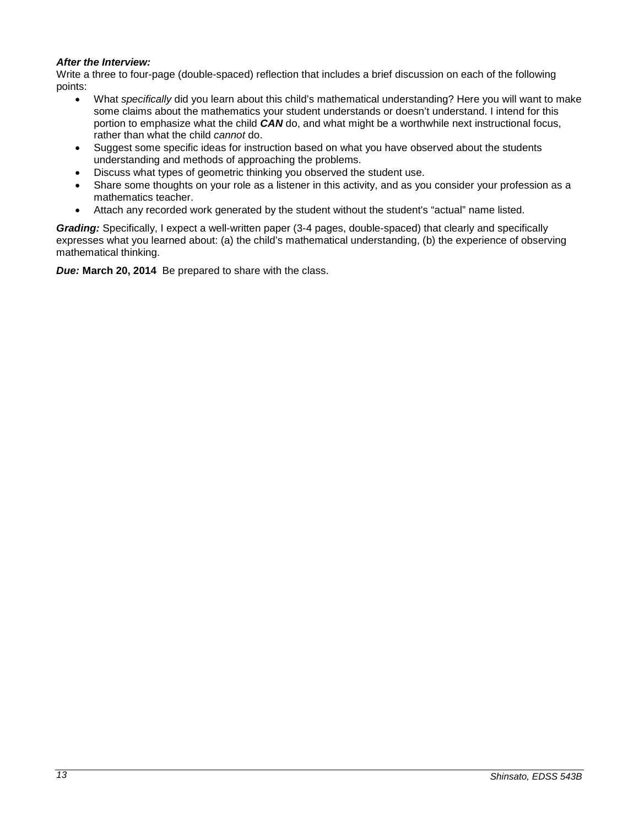# *After the Interview:*

Write a three to four-page (double-spaced) reflection that includes a brief discussion on each of the following points:

- What *specifically* did you learn about this child's mathematical understanding? Here you will want to make some claims about the mathematics your student understands or doesn't understand. I intend for this portion to emphasize what the child *CAN* do, and what might be a worthwhile next instructional focus, rather than what the child *cannot* do.
- Suggest some specific ideas for instruction based on what you have observed about the students understanding and methods of approaching the problems.
- Discuss what types of geometric thinking you observed the student use.
- Share some thoughts on your role as a listener in this activity, and as you consider your profession as a mathematics teacher.
- Attach any recorded work generated by the student without the student's "actual" name listed.

*Grading:* Specifically, I expect a well-written paper (3-4 pages, double-spaced) that clearly and specifically expresses what you learned about: (a) the child's mathematical understanding, (b) the experience of observing mathematical thinking.

*Due:* **March 20, 2014** Be prepared to share with the class.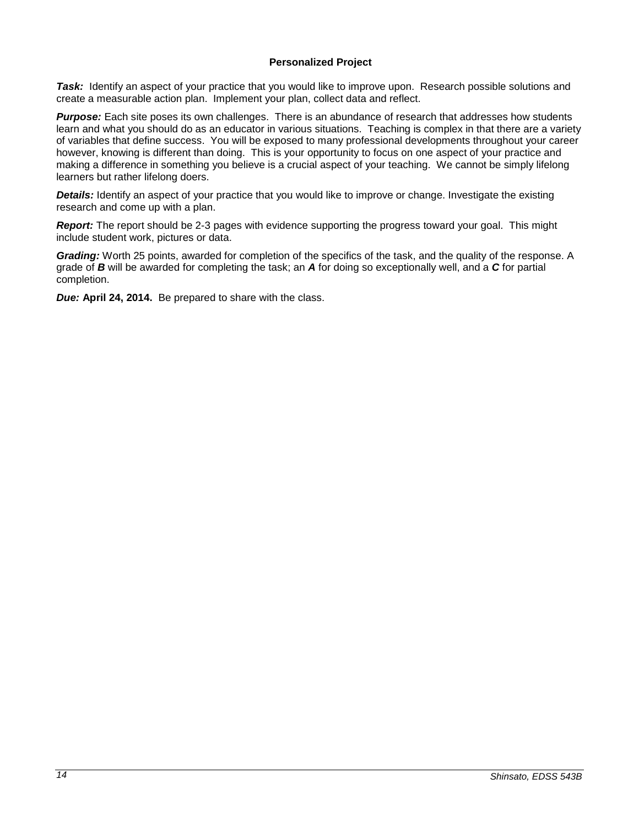# <span id="page-13-0"></span>**Personalized Project**

*Task:* Identify an aspect of your practice that you would like to improve upon. Research possible solutions and create a measurable action plan. Implement your plan, collect data and reflect.

**Purpose:** Each site poses its own challenges. There is an abundance of research that addresses how students learn and what you should do as an educator in various situations. Teaching is complex in that there are a variety of variables that define success. You will be exposed to many professional developments throughout your career however, knowing is different than doing. This is your opportunity to focus on one aspect of your practice and making a difference in something you believe is a crucial aspect of your teaching. We cannot be simply lifelong learners but rather lifelong doers.

*Details:* Identify an aspect of your practice that you would like to improve or change. Investigate the existing research and come up with a plan.

*Report:* The report should be 2-3 pages with evidence supporting the progress toward your goal. This might include student work, pictures or data.

*Grading:* Worth 25 points, awarded for completion of the specifics of the task, and the quality of the response. A grade of *B* will be awarded for completing the task; an *A* for doing so exceptionally well, and a *C* for partial completion.

*Due:* **April 24, 2014.** Be prepared to share with the class.